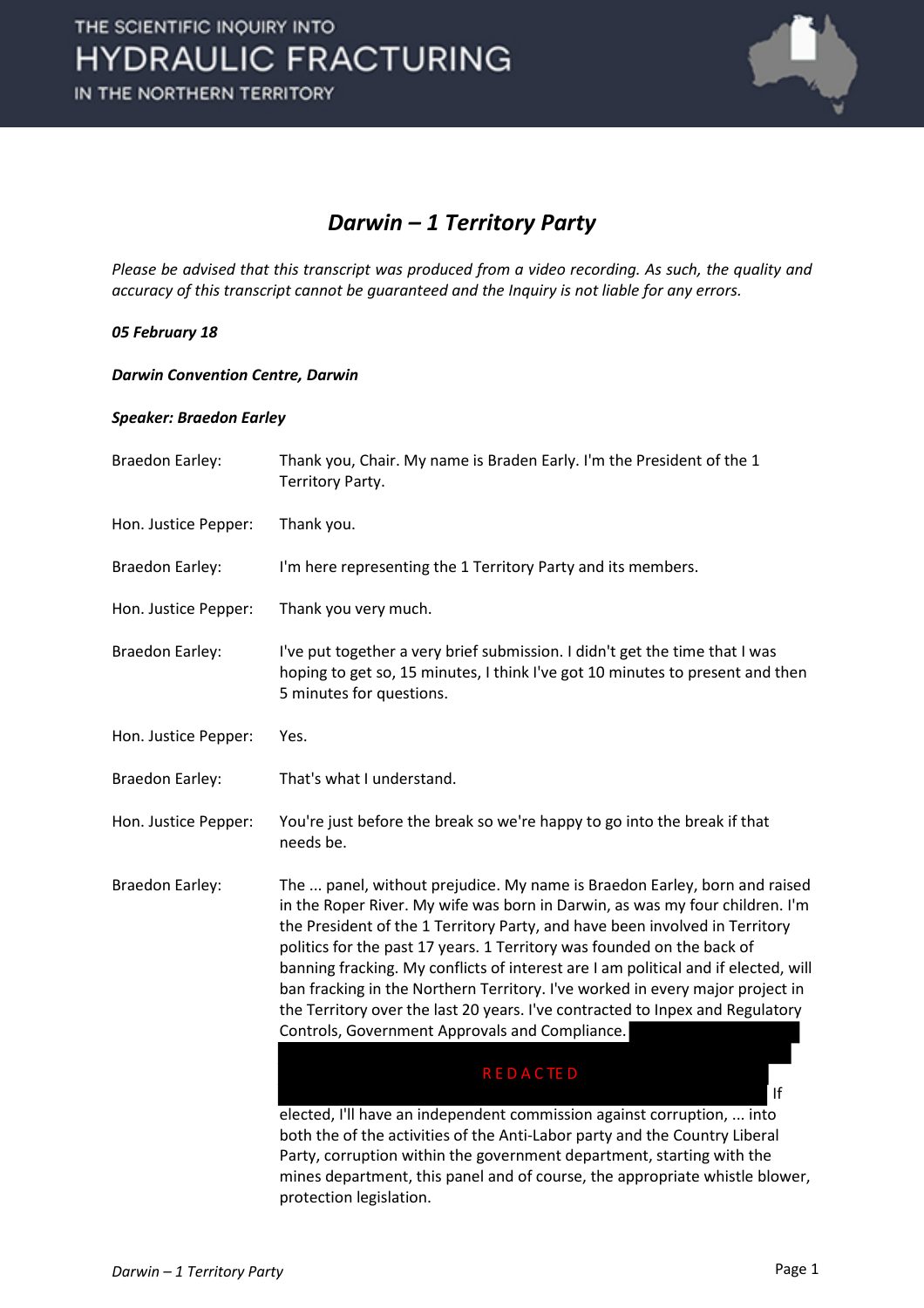

### *Darwin – 1 Territory Party*

*Please be advised that this transcript was produced from a video recording. As such, the quality and accuracy of this transcript cannot be guaranteed and the Inquiry is not liable for any errors.*

#### *05 February 18*

#### *Darwin Convention Centre, Darwin*

#### *Speaker: Braedon Earley*

| Braedon Earley:        | Thank you, Chair. My name is Braden Early. I'm the President of the 1<br>Territory Party.                                                                                                                                                                                                                                                                                                                                                                                                                                                                                                                                    |
|------------------------|------------------------------------------------------------------------------------------------------------------------------------------------------------------------------------------------------------------------------------------------------------------------------------------------------------------------------------------------------------------------------------------------------------------------------------------------------------------------------------------------------------------------------------------------------------------------------------------------------------------------------|
| Hon. Justice Pepper:   | Thank you.                                                                                                                                                                                                                                                                                                                                                                                                                                                                                                                                                                                                                   |
| <b>Braedon Earley:</b> | I'm here representing the 1 Territory Party and its members.                                                                                                                                                                                                                                                                                                                                                                                                                                                                                                                                                                 |
| Hon. Justice Pepper:   | Thank you very much.                                                                                                                                                                                                                                                                                                                                                                                                                                                                                                                                                                                                         |
| <b>Braedon Earley:</b> | I've put together a very brief submission. I didn't get the time that I was<br>hoping to get so, 15 minutes, I think I've got 10 minutes to present and then<br>5 minutes for questions.                                                                                                                                                                                                                                                                                                                                                                                                                                     |
| Hon. Justice Pepper:   | Yes.                                                                                                                                                                                                                                                                                                                                                                                                                                                                                                                                                                                                                         |
| <b>Braedon Earley:</b> | That's what I understand.                                                                                                                                                                                                                                                                                                                                                                                                                                                                                                                                                                                                    |
| Hon. Justice Pepper:   | You're just before the break so we're happy to go into the break if that<br>needs be.                                                                                                                                                                                                                                                                                                                                                                                                                                                                                                                                        |
| <b>Braedon Earley:</b> | The  panel, without prejudice. My name is Braedon Earley, born and raised<br>in the Roper River. My wife was born in Darwin, as was my four children. I'm<br>the President of the 1 Territory Party, and have been involved in Territory<br>politics for the past 17 years. 1 Territory was founded on the back of<br>banning fracking. My conflicts of interest are I am political and if elected, will<br>ban fracking in the Northern Territory. I've worked in every major project in<br>the Territory over the last 20 years. I've contracted to Inpex and Regulatory<br>Controls, Government Approvals and Compliance. |
|                        | <b>REDACTED</b><br>If                                                                                                                                                                                                                                                                                                                                                                                                                                                                                                                                                                                                        |
|                        | elected, I'll have an independent commission against corruption,  into<br>both the of the activities of the Anti-Labor party and the Country Liberal<br>Party, corruption within the government department, starting with the<br>mines department, this panel and of course, the appropriate whistle blower,<br>protection legislation.                                                                                                                                                                                                                                                                                      |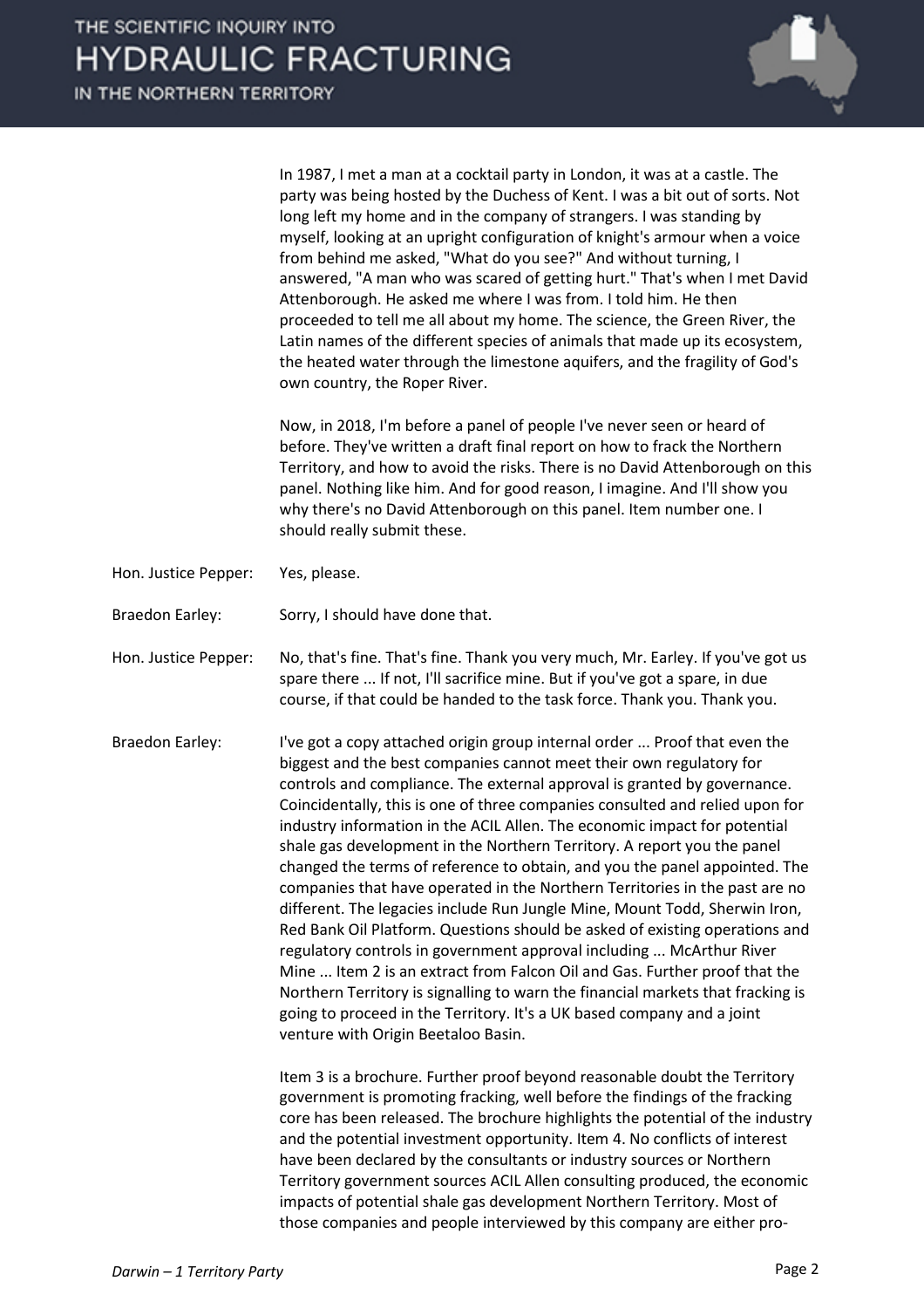In 1987, I met a man at a cocktail party in London, it was at a castle. The party was being hosted by the Duchess of Kent. I was a bit out of sorts. Not long left my home and in the company of strangers. I was standing by myself, looking at an upright configuration of knight's armour when a voice from behind me asked, "What do you see?" And without turning, I answered, "A man who was scared of getting hurt." That's when I met David Attenborough. He asked me where I was from. I told him. He then proceeded to tell me all about my home. The science, the Green River, the Latin names of the different species of animals that made up its ecosystem, the heated water through the limestone aquifers, and the fragility of God's own country, the Roper River.

Now, in 2018, I'm before a panel of people I've never seen or heard of before. They've written a draft final report on how to frack the Northern Territory, and how to avoid the risks. There is no David Attenborough on this panel. Nothing like him. And for good reason, I imagine. And I'll show you why there's no David Attenborough on this panel. Item number one. I should really submit these.

- Hon. Justice Pepper: Yes, please.
- Braedon Earley: Sorry, I should have done that.

Hon. Justice Pepper: No, that's fine. That's fine. Thank you very much, Mr. Earley. If you've got us spare there ... If not, I'll sacrifice mine. But if you've got a spare, in due course, if that could be handed to the task force. Thank you. Thank you.

Braedon Earley: I've got a copy attached origin group internal order ... Proof that even the biggest and the best companies cannot meet their own regulatory for controls and compliance. The external approval is granted by governance. Coincidentally, this is one of three companies consulted and relied upon for industry information in the ACIL Allen. The economic impact for potential shale gas development in the Northern Territory. A report you the panel changed the terms of reference to obtain, and you the panel appointed. The companies that have operated in the Northern Territories in the past are no different. The legacies include Run Jungle Mine, Mount Todd, Sherwin Iron, Red Bank Oil Platform. Questions should be asked of existing operations and regulatory controls in government approval including ... McArthur River Mine ... Item 2 is an extract from Falcon Oil and Gas. Further proof that the Northern Territory is signalling to warn the financial markets that fracking is going to proceed in the Territory. It's a UK based company and a joint venture with Origin Beetaloo Basin.

> Item 3 is a brochure. Further proof beyond reasonable doubt the Territory government is promoting fracking, well before the findings of the fracking core has been released. The brochure highlights the potential of the industry and the potential investment opportunity. Item 4. No conflicts of interest have been declared by the consultants or industry sources or Northern Territory government sources ACIL Allen consulting produced, the economic impacts of potential shale gas development Northern Territory. Most of those companies and people interviewed by this company are either pro-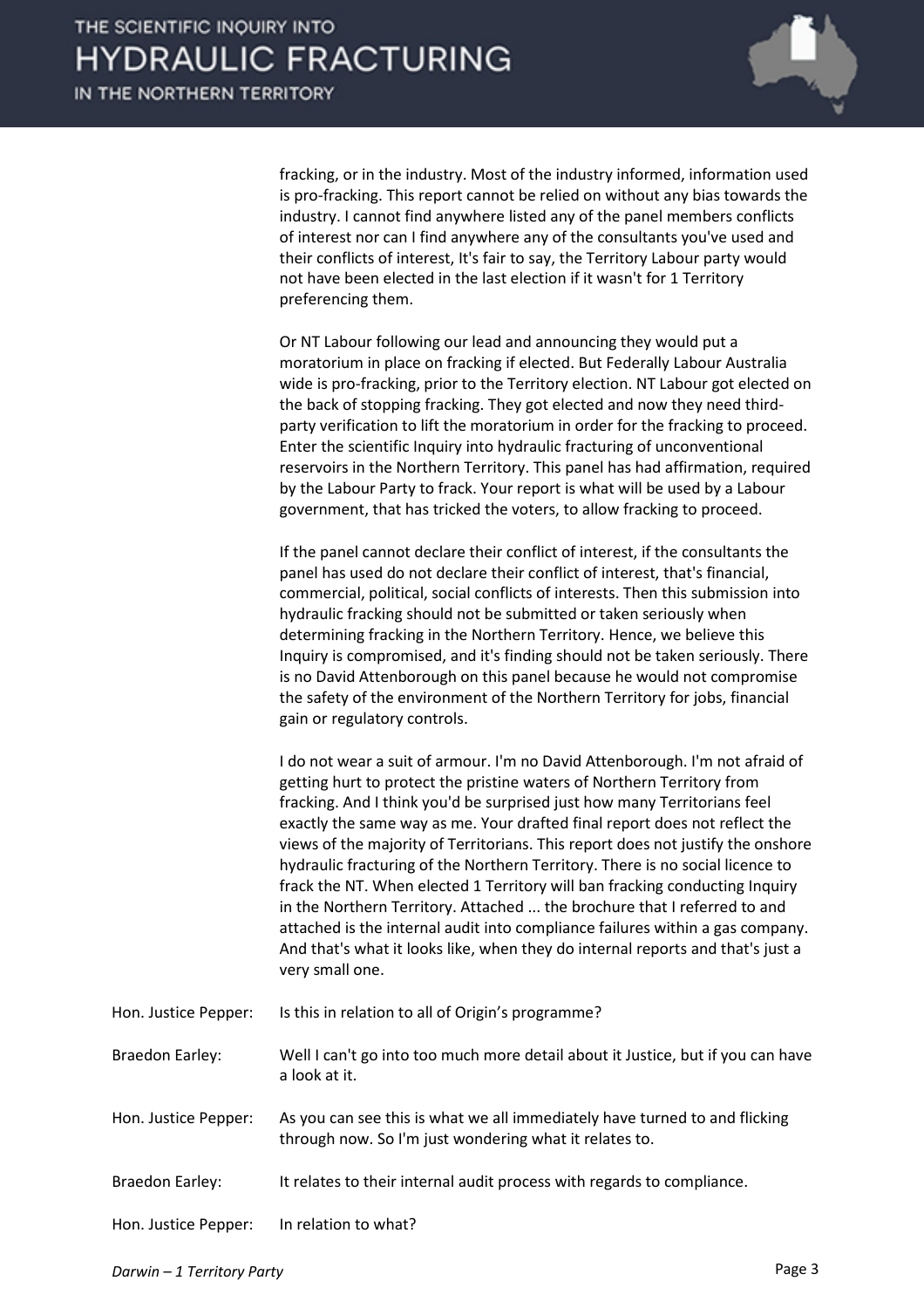

fracking, or in the industry. Most of the industry informed, information used is pro-fracking. This report cannot be relied on without any bias towards the industry. I cannot find anywhere listed any of the panel members conflicts of interest nor can I find anywhere any of the consultants you've used and their conflicts of interest, It's fair to say, the Territory Labour party would not have been elected in the last election if it wasn't for 1 Territory preferencing them.

Or NT Labour following our lead and announcing they would put a moratorium in place on fracking if elected. But Federally Labour Australia wide is pro-fracking, prior to the Territory election. NT Labour got elected on the back of stopping fracking. They got elected and now they need thirdparty verification to lift the moratorium in order for the fracking to proceed. Enter the scientific Inquiry into hydraulic fracturing of unconventional reservoirs in the Northern Territory. This panel has had affirmation, required by the Labour Party to frack. Your report is what will be used by a Labour government, that has tricked the voters, to allow fracking to proceed.

If the panel cannot declare their conflict of interest, if the consultants the panel has used do not declare their conflict of interest, that's financial, commercial, political, social conflicts of interests. Then this submission into hydraulic fracking should not be submitted or taken seriously when determining fracking in the Northern Territory. Hence, we believe this Inquiry is compromised, and it's finding should not be taken seriously. There is no David Attenborough on this panel because he would not compromise the safety of the environment of the Northern Territory for jobs, financial gain or regulatory controls.

I do not wear a suit of armour. I'm no David Attenborough. I'm not afraid of getting hurt to protect the pristine waters of Northern Territory from fracking. And I think you'd be surprised just how many Territorians feel exactly the same way as me. Your drafted final report does not reflect the views of the majority of Territorians. This report does not justify the onshore hydraulic fracturing of the Northern Territory. There is no social licence to frack the NT. When elected 1 Territory will ban fracking conducting Inquiry in the Northern Territory. Attached ... the brochure that I referred to and attached is the internal audit into compliance failures within a gas company. And that's what it looks like, when they do internal reports and that's just a very small one.

Hon. Justice Pepper: Is this in relation to all of Origin's programme?

Braedon Earley: Well I can't go into too much more detail about it Justice, but if you can have a look at it.

- Hon. Justice Pepper: As you can see this is what we all immediately have turned to and flicking through now. So I'm just wondering what it relates to.
- Braedon Earley: It relates to their internal audit process with regards to compliance.

Hon. Justice Pepper: In relation to what?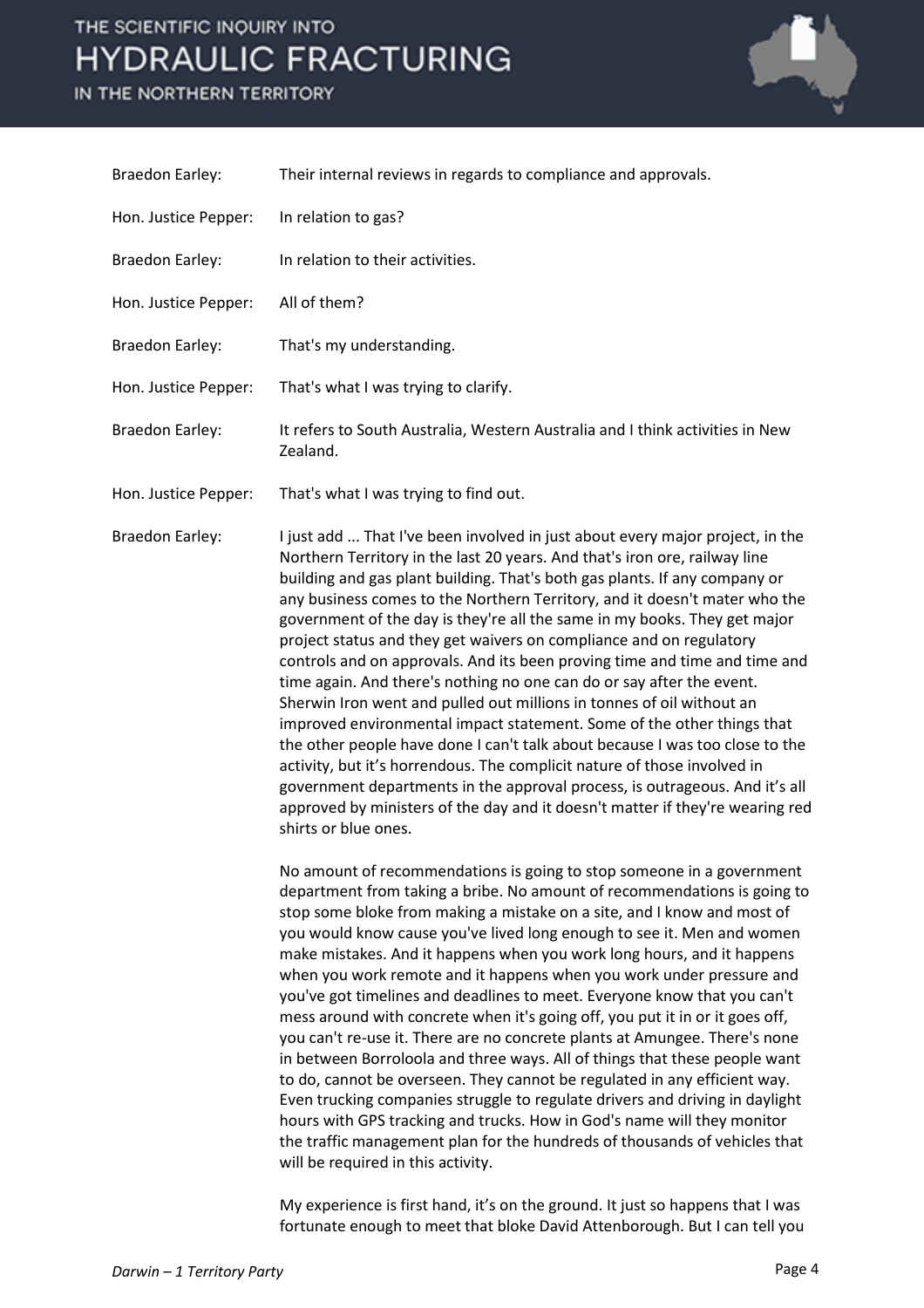### THE SCIENTIFIC INOUIRY INTO **HYDRAULIC FRACTURING**

IN THE NORTHERN TERRITORY



Braedon Earley: Their internal reviews in regards to compliance and approvals. Hon. Justice Pepper: In relation to gas? Braedon Earley: In relation to their activities. Hon. Justice Pepper: All of them? Braedon Earley: That's my understanding. Hon. Justice Pepper: That's what I was trying to clarify. Braedon Earley: It refers to South Australia, Western Australia and I think activities in New Zealand. Hon. Justice Pepper: That's what I was trying to find out. Braedon Earley: I just add ... That I've been involved in just about every major project, in the Northern Territory in the last 20 years. And that's iron ore, railway line building and gas plant building. That's both gas plants. If any company or any business comes to the Northern Territory, and it doesn't mater who the

> project status and they get waivers on compliance and on regulatory controls and on approvals. And its been proving time and time and time and time again. And there's nothing no one can do or say after the event. Sherwin Iron went and pulled out millions in tonnes of oil without an improved environmental impact statement. Some of the other things that the other people have done I can't talk about because I was too close to the activity, but it's horrendous. The complicit nature of those involved in government departments in the approval process, is outrageous. And it's all approved by ministers of the day and it doesn't matter if they're wearing red shirts or blue ones.

government of the day is they're all the same in my books. They get major

No amount of recommendations is going to stop someone in a government department from taking a bribe. No amount of recommendations is going to stop some bloke from making a mistake on a site, and I know and most of you would know cause you've lived long enough to see it. Men and women make mistakes. And it happens when you work long hours, and it happens when you work remote and it happens when you work under pressure and you've got timelines and deadlines to meet. Everyone know that you can't mess around with concrete when it's going off, you put it in or it goes off, you can't re-use it. There are no concrete plants at Amungee. There's none in between Borroloola and three ways. All of things that these people want to do, cannot be overseen. They cannot be regulated in any efficient way. Even trucking companies struggle to regulate drivers and driving in daylight hours with GPS tracking and trucks. How in God's name will they monitor the traffic management plan for the hundreds of thousands of vehicles that will be required in this activity.

My experience is first hand, it's on the ground. It just so happens that I was fortunate enough to meet that bloke David Attenborough. But I can tell you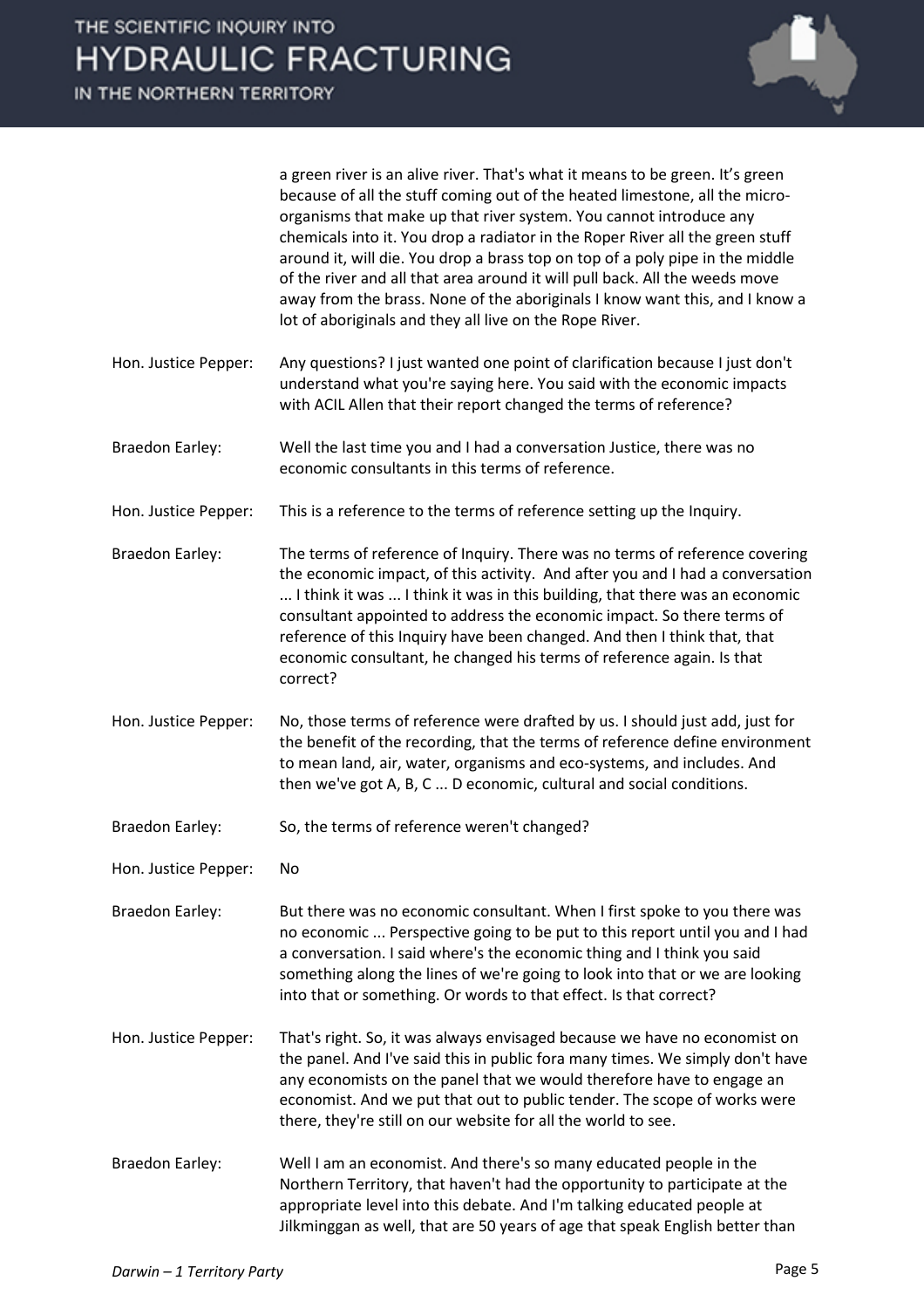

a green river is an alive river. That's what it means to be green. It's green because of all the stuff coming out of the heated limestone, all the microorganisms that make up that river system. You cannot introduce any chemicals into it. You drop a radiator in the Roper River all the green stuff around it, will die. You drop a brass top on top of a poly pipe in the middle of the river and all that area around it will pull back. All the weeds move away from the brass. None of the aboriginals I know want this, and I know a lot of aboriginals and they all live on the Rope River.

- Hon. Justice Pepper: Any questions? I just wanted one point of clarification because I just don't understand what you're saying here. You said with the economic impacts with ACIL Allen that their report changed the terms of reference?
- Braedon Earley: Well the last time you and I had a conversation Justice, there was no economic consultants in this terms of reference.
- Hon. Justice Pepper: This is a reference to the terms of reference setting up the Inquiry.
- Braedon Earley: The terms of reference of Inquiry. There was no terms of reference covering the economic impact, of this activity. And after you and I had a conversation ... I think it was ... I think it was in this building, that there was an economic consultant appointed to address the economic impact. So there terms of reference of this Inquiry have been changed. And then I think that, that economic consultant, he changed his terms of reference again. Is that correct?
- Hon. Justice Pepper: No, those terms of reference were drafted by us. I should just add, just for the benefit of the recording, that the terms of reference define environment to mean land, air, water, organisms and eco-systems, and includes. And then we've got A, B, C ... D economic, cultural and social conditions.
- Braedon Earley: So, the terms of reference weren't changed?
- Hon. Justice Pepper: No

Braedon Earley: But there was no economic consultant. When I first spoke to you there was no economic ... Perspective going to be put to this report until you and I had a conversation. I said where's the economic thing and I think you said something along the lines of we're going to look into that or we are looking into that or something. Or words to that effect. Is that correct?

Hon. Justice Pepper: That's right. So, it was always envisaged because we have no economist on the panel. And I've said this in public fora many times. We simply don't have any economists on the panel that we would therefore have to engage an economist. And we put that out to public tender. The scope of works were there, they're still on our website for all the world to see.

Braedon Earley: Well I am an economist. And there's so many educated people in the Northern Territory, that haven't had the opportunity to participate at the appropriate level into this debate. And I'm talking educated people at Jilkminggan as well, that are 50 years of age that speak English better than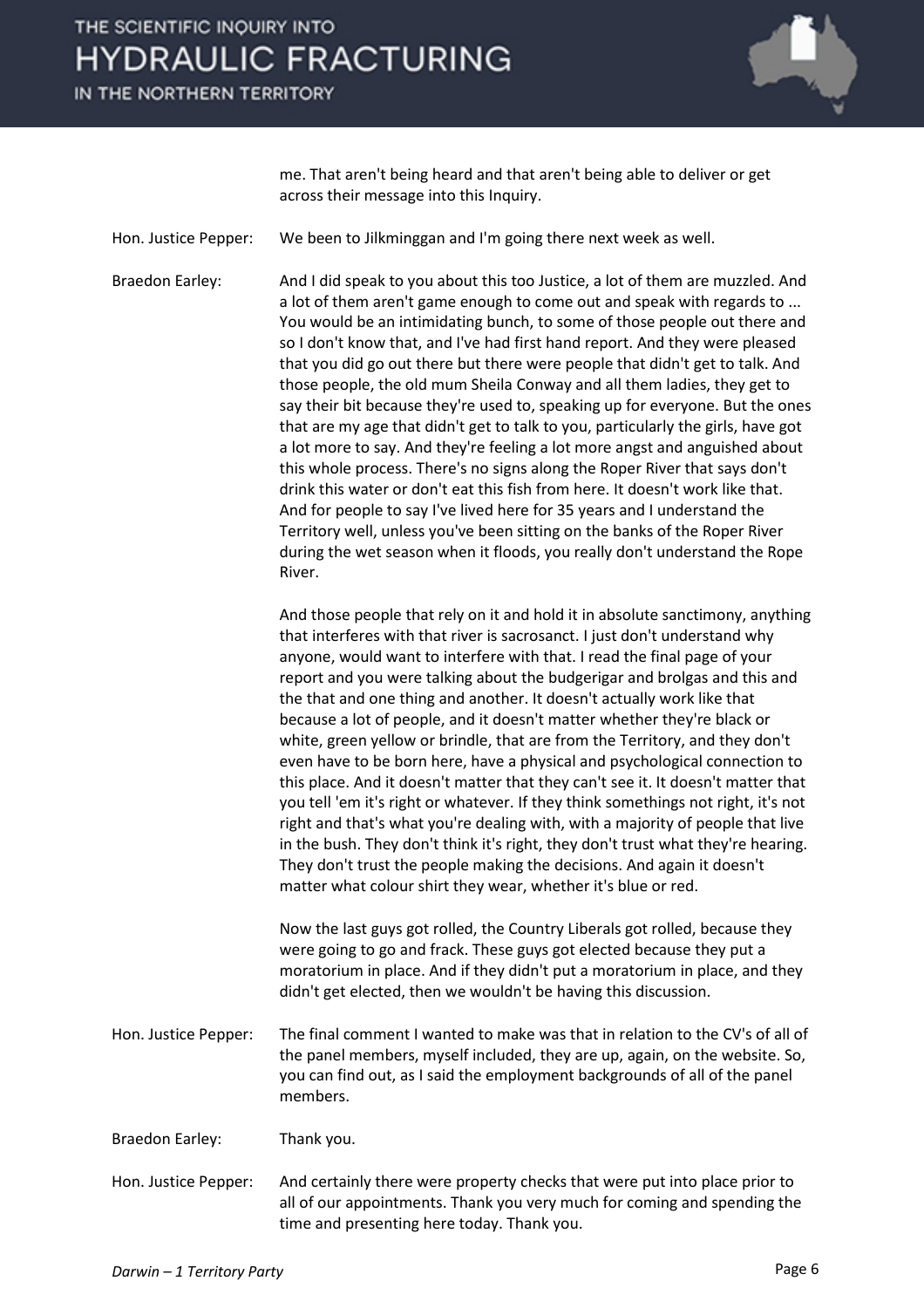## THE SCIENTIFIC INOUIRY INTO **HYDRAULIC FRACTURING**

IN THE NORTHERN TERRITORY



me. That aren't being heard and that aren't being able to deliver or get across their message into this Inquiry.

Hon. Justice Pepper: We been to Jilkminggan and I'm going there next week as well.

Braedon Earley: And I did speak to you about this too Justice, a lot of them are muzzled. And a lot of them aren't game enough to come out and speak with regards to ... You would be an intimidating bunch, to some of those people out there and so I don't know that, and I've had first hand report. And they were pleased that you did go out there but there were people that didn't get to talk. And those people, the old mum Sheila Conway and all them ladies, they get to say their bit because they're used to, speaking up for everyone. But the ones that are my age that didn't get to talk to you, particularly the girls, have got a lot more to say. And they're feeling a lot more angst and anguished about this whole process. There's no signs along the Roper River that says don't drink this water or don't eat this fish from here. It doesn't work like that. And for people to say I've lived here for 35 years and I understand the Territory well, unless you've been sitting on the banks of the Roper River during the wet season when it floods, you really don't understand the Rope River.

> And those people that rely on it and hold it in absolute sanctimony, anything that interferes with that river is sacrosanct. I just don't understand why anyone, would want to interfere with that. I read the final page of your report and you were talking about the budgerigar and brolgas and this and the that and one thing and another. It doesn't actually work like that because a lot of people, and it doesn't matter whether they're black or white, green yellow or brindle, that are from the Territory, and they don't even have to be born here, have a physical and psychological connection to this place. And it doesn't matter that they can't see it. It doesn't matter that you tell 'em it's right or whatever. If they think somethings not right, it's not right and that's what you're dealing with, with a majority of people that live in the bush. They don't think it's right, they don't trust what they're hearing. They don't trust the people making the decisions. And again it doesn't matter what colour shirt they wear, whether it's blue or red.

Now the last guys got rolled, the Country Liberals got rolled, because they were going to go and frack. These guys got elected because they put a moratorium in place. And if they didn't put a moratorium in place, and they didn't get elected, then we wouldn't be having this discussion.

Hon. Justice Pepper: The final comment I wanted to make was that in relation to the CV's of all of the panel members, myself included, they are up, again, on the website. So, you can find out, as I said the employment backgrounds of all of the panel members.

Braedon Earley: Thank you.

Hon. Justice Pepper: And certainly there were property checks that were put into place prior to all of our appointments. Thank you very much for coming and spending the time and presenting here today. Thank you.